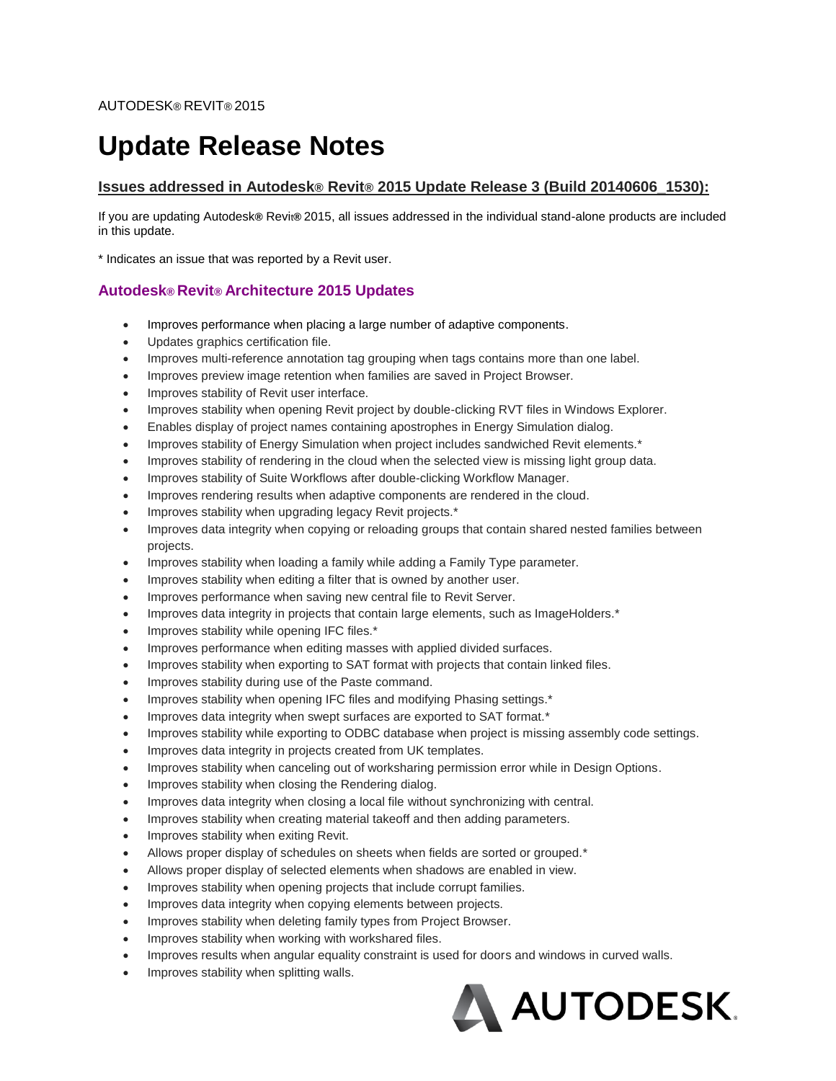# **Update Release Notes**

## **Issues addressed in Autodesk® Revit® 2015 Update Release 3 (Build 20140606\_1530):**

If you are updating Autodesk**®** Revit**®** 2015, all issues addressed in the individual stand-alone products are included in this update.

\* Indicates an issue that was reported by a Revit user.

## **Autodesk® Revit® Architecture 2015 Updates**

- Improves performance when placing a large number of adaptive components.
- Updates graphics certification file.
- Improves multi-reference annotation tag grouping when tags contains more than one label.
- Improves preview image retention when families are saved in Project Browser.
- Improves stability of Revit user interface.
- Improves stability when opening Revit project by double-clicking RVT files in Windows Explorer.
- Enables display of project names containing apostrophes in Energy Simulation dialog.
- Improves stability of Energy Simulation when project includes sandwiched Revit elements.\*
- Improves stability of rendering in the cloud when the selected view is missing light group data.
- Improves stability of Suite Workflows after double-clicking Workflow Manager.
- Improves rendering results when adaptive components are rendered in the cloud.
- Improves stability when upgrading legacy Revit projects.\*
- Improves data integrity when copying or reloading groups that contain shared nested families between projects.
- Improves stability when loading a family while adding a Family Type parameter.
- Improves stability when editing a filter that is owned by another user.
- Improves performance when saving new central file to Revit Server.
- Improves data integrity in projects that contain large elements, such as ImageHolders.\*
- Improves stability while opening IFC files.\*
- Improves performance when editing masses with applied divided surfaces.
- Improves stability when exporting to SAT format with projects that contain linked files.
- Improves stability during use of the Paste command.
- Improves stability when opening IFC files and modifying Phasing settings.\*
- Improves data integrity when swept surfaces are exported to SAT format.\*
- Improves stability while exporting to ODBC database when project is missing assembly code settings.
- Improves data integrity in projects created from UK templates.
- Improves stability when canceling out of worksharing permission error while in Design Options.
- Improves stability when closing the Rendering dialog.
- Improves data integrity when closing a local file without synchronizing with central.
- Improves stability when creating material takeoff and then adding parameters.
- Improves stability when exiting Revit.
- Allows proper display of schedules on sheets when fields are sorted or grouped.\*
- Allows proper display of selected elements when shadows are enabled in view.
- Improves stability when opening projects that include corrupt families.
- Improves data integrity when copying elements between projects.
- Improves stability when deleting family types from Project Browser.
- Improves stability when working with workshared files.
- Improves results when angular equality constraint is used for doors and windows in curved walls.
- Improves stability when splitting walls.

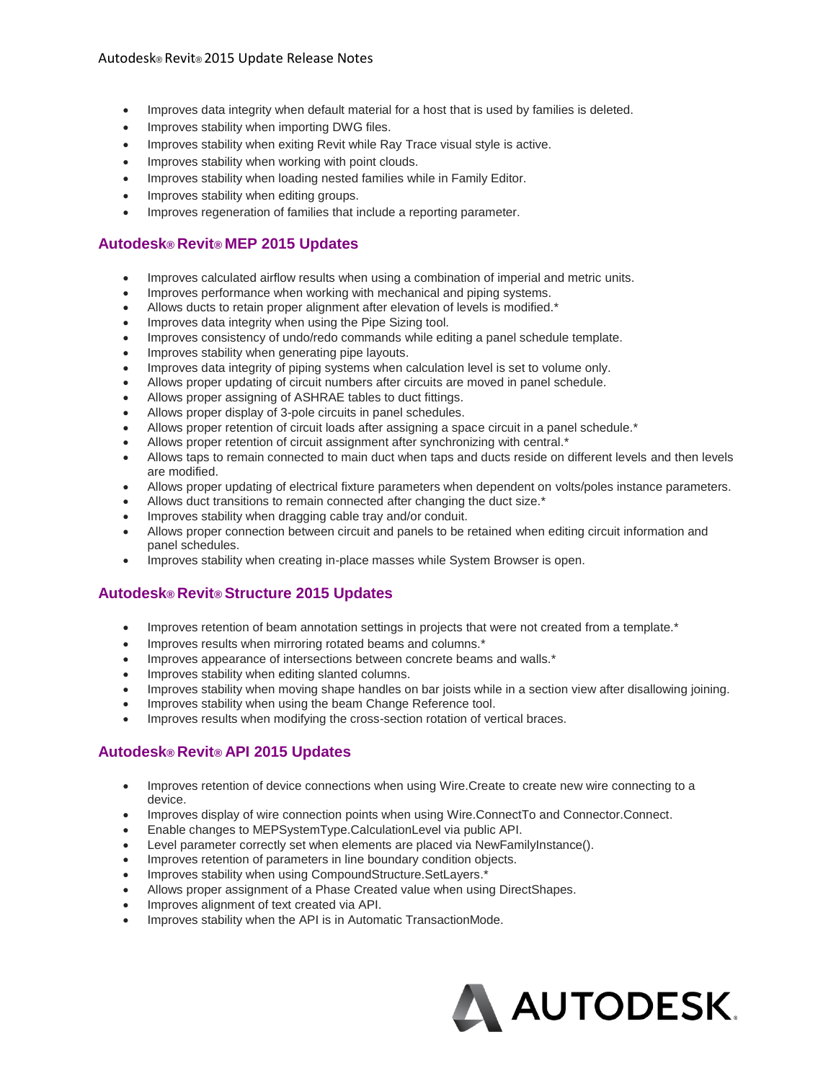- Improves data integrity when default material for a host that is used by families is deleted.
- Improves stability when importing DWG files.
- Improves stability when exiting Revit while Ray Trace visual style is active.
- Improves stability when working with point clouds.
- Improves stability when loading nested families while in Family Editor.
- Improves stability when editing groups.
- Improves regeneration of families that include a reporting parameter.

## **Autodesk® Revit® MEP 2015 Updates**

- Improves calculated airflow results when using a combination of imperial and metric units.
- Improves performance when working with mechanical and piping systems.
- Allows ducts to retain proper alignment after elevation of levels is modified.\*
- Improves data integrity when using the Pipe Sizing tool.
- Improves consistency of undo/redo commands while editing a panel schedule template.
- Improves stability when generating pipe layouts.
- Improves data integrity of piping systems when calculation level is set to volume only.
- Allows proper updating of circuit numbers after circuits are moved in panel schedule.
- Allows proper assigning of ASHRAE tables to duct fittings.
- Allows proper display of 3-pole circuits in panel schedules.
- Allows proper retention of circuit loads after assigning a space circuit in a panel schedule.\*
- Allows proper retention of circuit assignment after synchronizing with central.\*
- Allows taps to remain connected to main duct when taps and ducts reside on different levels and then levels are modified.
- Allows proper updating of electrical fixture parameters when dependent on volts/poles instance parameters.
- Allows duct transitions to remain connected after changing the duct size.\*
- Improves stability when dragging cable tray and/or conduit.
- Allows proper connection between circuit and panels to be retained when editing circuit information and panel schedules.
- Improves stability when creating in-place masses while System Browser is open.

# **Autodesk® Revit® Structure 2015 Updates**

- Improves retention of beam annotation settings in projects that were not created from a template.\*
- Improves results when mirroring rotated beams and columns.\*
- Improves appearance of intersections between concrete beams and walls.\*
- Improves stability when editing slanted columns.
- Improves stability when moving shape handles on bar joists while in a section view after disallowing joining.
- Improves stability when using the beam Change Reference tool.
- Improves results when modifying the cross-section rotation of vertical braces.

### **Autodesk® Revit® API 2015 Updates**

- Improves retention of device connections when using Wire.Create to create new wire connecting to a device.
- Improves display of wire connection points when using Wire.ConnectTo and Connector.Connect.
- Enable changes to MEPSystemType.CalculationLevel via public API.
- Level parameter correctly set when elements are placed via NewFamilyInstance().
- Improves retention of parameters in line boundary condition objects.
- Improves stability when using CompoundStructure.SetLayers.\*
- Allows proper assignment of a Phase Created value when using DirectShapes.
- Improves alignment of text created via API.
- Improves stability when the API is in Automatic TransactionMode.